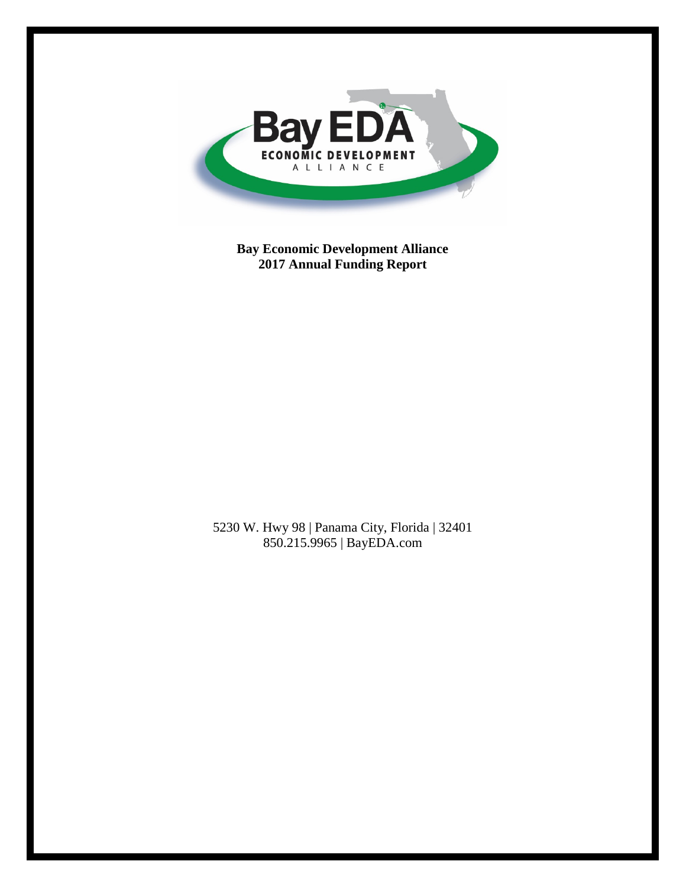

**Bay Economic Development Alliance 2017 Annual Funding Report**

5230 W. Hwy 98 | Panama City, Florida | 32401 850.215.9965 | BayEDA.com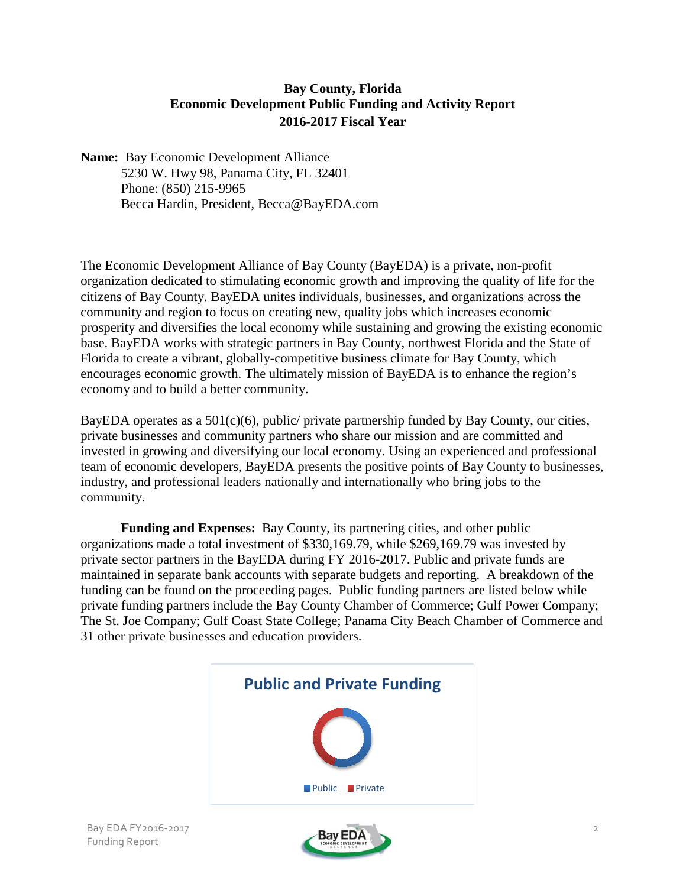### **Bay County, Florida Economic Development Public Funding and Activity Report 2016-2017 Fiscal Year**

**Name:** Bay Economic Development Alliance 5230 W. Hwy 98, Panama City, FL 32401 Phone: (850) 215-9965 Becca Hardin, President, Becca@BayEDA.com

The Economic Development Alliance of Bay County (BayEDA) is a private, non-profit organization dedicated to stimulating economic growth and improving the quality of life for the citizens of Bay County. BayEDA unites individuals, businesses, and organizations across the community and region to focus on creating new, quality jobs which increases economic prosperity and diversifies the local economy while sustaining and growing the existing economic base. BayEDA works with strategic partners in Bay County, northwest Florida and the State of Florida to create a vibrant, globally-competitive business climate for Bay County, which encourages economic growth. The ultimately mission of BayEDA is to enhance the region's economy and to build a better community.

BayEDA operates as a  $501(c)(6)$ , public/ private partnership funded by Bay County, our cities, private businesses and community partners who share our mission and are committed and invested in growing and diversifying our local economy. Using an experienced and professional team of economic developers, BayEDA presents the positive points of Bay County to businesses, industry, and professional leaders nationally and internationally who bring jobs to the community.

**Funding and Expenses:** Bay County, its partnering cities, and other public organizations made a total investment of \$330,169.79, while \$269,169.79 was invested by private sector partners in the BayEDA during FY 2016-2017. Public and private funds are maintained in separate bank accounts with separate budgets and reporting. A breakdown of the funding can be found on the proceeding pages. Public funding partners are listed below while private funding partners include the Bay County Chamber of Commerce; Gulf Power Company; The St. Joe Company; Gulf Coast State College; Panama City Beach Chamber of Commerce and 31 other private businesses and education providers.



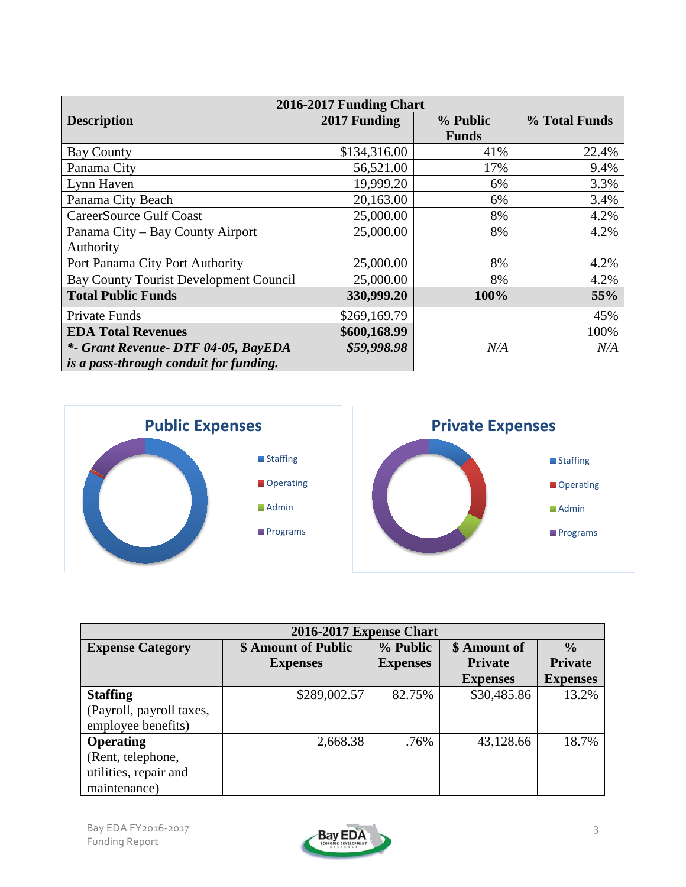| 2016-2017 Funding Chart                |              |              |               |  |  |  |  |  |
|----------------------------------------|--------------|--------------|---------------|--|--|--|--|--|
| <b>Description</b>                     | 2017 Funding | % Public     | % Total Funds |  |  |  |  |  |
|                                        |              | <b>Funds</b> |               |  |  |  |  |  |
| <b>Bay County</b>                      | \$134,316.00 | 41%          | 22.4%         |  |  |  |  |  |
| Panama City                            | 56,521.00    | 17%          | 9.4%          |  |  |  |  |  |
| Lynn Haven                             | 19,999.20    | 6%           | 3.3%          |  |  |  |  |  |
| Panama City Beach                      | 20,163.00    | 6%           | 3.4%          |  |  |  |  |  |
| <b>CareerSource Gulf Coast</b>         | 25,000.00    | 8%           | 4.2%          |  |  |  |  |  |
| Panama City – Bay County Airport       | 25,000.00    | 8%           | 4.2%          |  |  |  |  |  |
| Authority                              |              |              |               |  |  |  |  |  |
| Port Panama City Port Authority        | 25,000.00    | 8%           | 4.2%          |  |  |  |  |  |
| Bay County Tourist Development Council | 25,000.00    | 8%           | 4.2%          |  |  |  |  |  |
| <b>Total Public Funds</b>              | 330,999.20   | 100%         | 55%           |  |  |  |  |  |
| Private Funds                          | \$269,169.79 |              | 45%           |  |  |  |  |  |
| <b>EDA Total Revenues</b>              | \$600,168.99 |              | 100%          |  |  |  |  |  |
| *- Grant Revenue- DTF 04-05, BayEDA    | \$59,998.98  | N/A          | N/A           |  |  |  |  |  |
| is a pass-through conduit for funding. |              |              |               |  |  |  |  |  |



| <b>2016-2017 Expense Chart</b> |                     |                 |                 |                 |  |  |  |
|--------------------------------|---------------------|-----------------|-----------------|-----------------|--|--|--|
| <b>Expense Category</b>        | \$ Amount of Public | % Public        | \$ Amount of    | $\frac{0}{0}$   |  |  |  |
|                                | <b>Expenses</b>     | <b>Expenses</b> | <b>Private</b>  | <b>Private</b>  |  |  |  |
|                                |                     |                 | <b>Expenses</b> | <b>Expenses</b> |  |  |  |
| <b>Staffing</b>                | \$289,002.57        | 82.75%          | \$30,485.86     | 13.2%           |  |  |  |
| (Payroll, payroll taxes,       |                     |                 |                 |                 |  |  |  |
| employee benefits)             |                     |                 |                 |                 |  |  |  |
| Operating                      | 2,668.38            | .76%            | 43,128.66       | 18.7%           |  |  |  |
| (Rent, telephone,              |                     |                 |                 |                 |  |  |  |
| utilities, repair and          |                     |                 |                 |                 |  |  |  |
| maintenance)                   |                     |                 |                 |                 |  |  |  |

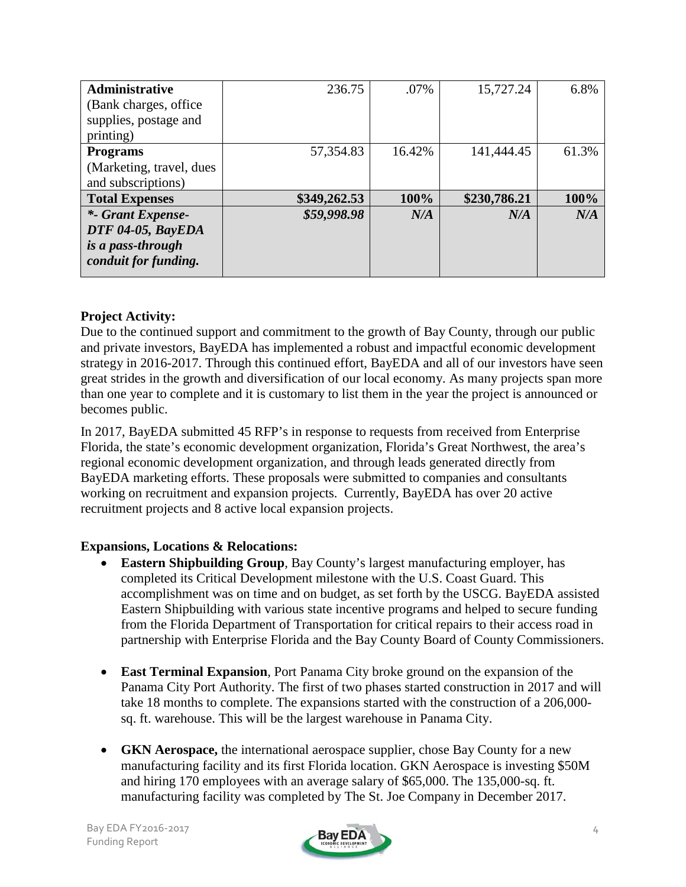| Administrative           | 236.75       | .07%   | 15,727.24    | 6.8%  |
|--------------------------|--------------|--------|--------------|-------|
| (Bank charges, office)   |              |        |              |       |
| supplies, postage and    |              |        |              |       |
| printing)                |              |        |              |       |
| <b>Programs</b>          | 57,354.83    | 16.42% | 141,444.45   | 61.3% |
| (Marketing, travel, dues |              |        |              |       |
| and subscriptions)       |              |        |              |       |
| <b>Total Expenses</b>    | \$349,262.53 | 100%   | \$230,786.21 | 100%  |
| *- Grant Expense-        | \$59,998.98  | N/A    | N/A          | N/A   |
| DTF 04-05, BayEDA        |              |        |              |       |
| is a pass-through        |              |        |              |       |
| conduit for funding.     |              |        |              |       |

### **Project Activity:**

Due to the continued support and commitment to the growth of Bay County, through our public and private investors, BayEDA has implemented a robust and impactful economic development strategy in 2016-2017. Through this continued effort, BayEDA and all of our investors have seen great strides in the growth and diversification of our local economy. As many projects span more than one year to complete and it is customary to list them in the year the project is announced or becomes public.

In 2017, BayEDA submitted 45 RFP's in response to requests from received from Enterprise Florida, the state's economic development organization, Florida's Great Northwest, the area's regional economic development organization, and through leads generated directly from BayEDA marketing efforts. These proposals were submitted to companies and consultants working on recruitment and expansion projects. Currently, BayEDA has over 20 active recruitment projects and 8 active local expansion projects.

#### **Expansions, Locations & Relocations:**

- **Eastern Shipbuilding Group**, Bay County's largest manufacturing employer, has completed its Critical Development milestone with the U.S. Coast Guard. This accomplishment was on time and on budget, as set forth by the USCG. BayEDA assisted Eastern Shipbuilding with various state incentive programs and helped to secure funding from the Florida Department of Transportation for critical repairs to their access road in partnership with Enterprise Florida and the Bay County Board of County Commissioners.
- **East Terminal Expansion***,* Port Panama City broke ground on the expansion of the Panama City Port Authority. The first of two phases started construction in 2017 and will take 18 months to complete. The expansions started with the construction of a 206,000 sq. ft. warehouse. This will be the largest warehouse in Panama City.
- **GKN Aerospace,** the international aerospace supplier, chose Bay County for a new manufacturing facility and its first Florida location. GKN Aerospace is investing \$50M and hiring 170 employees with an average salary of \$65,000. The 135,000-sq. ft. manufacturing facility was completed by The St. Joe Company in December 2017.

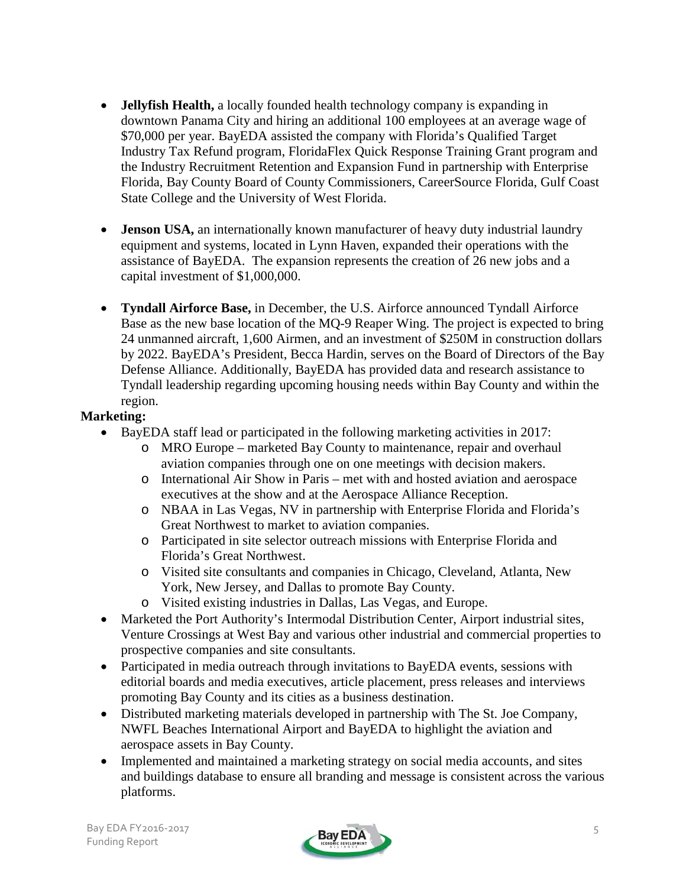- **Jellyfish Health,** a locally founded health technology company is expanding in downtown Panama City and hiring an additional 100 employees at an average wage of \$70,000 per year. BayEDA assisted the company with Florida's Qualified Target Industry Tax Refund program, FloridaFlex Quick Response Training Grant program and the Industry Recruitment Retention and Expansion Fund in partnership with Enterprise Florida, Bay County Board of County Commissioners, CareerSource Florida, Gulf Coast State College and the University of West Florida.
- **Jenson USA,** an internationally known manufacturer of heavy duty industrial laundry equipment and systems, located in Lynn Haven, expanded their operations with the assistance of BayEDA. The expansion represents the creation of 26 new jobs and a capital investment of \$1,000,000.
- **Tyndall Airforce Base,** in December, the U.S. Airforce announced Tyndall Airforce Base as the new base location of the MQ-9 Reaper Wing. The project is expected to bring 24 unmanned aircraft, 1,600 Airmen, and an investment of \$250M in construction dollars by 2022. BayEDA's President, Becca Hardin, serves on the Board of Directors of the Bay Defense Alliance. Additionally, BayEDA has provided data and research assistance to Tyndall leadership regarding upcoming housing needs within Bay County and within the region.

### **Marketing:**

- BayEDA staff lead or participated in the following marketing activities in 2017:
	- o MRO Europe marketed Bay County to maintenance, repair and overhaul aviation companies through one on one meetings with decision makers.
	- o International Air Show in Paris met with and hosted aviation and aerospace executives at the show and at the Aerospace Alliance Reception.
	- o NBAA in Las Vegas, NV in partnership with Enterprise Florida and Florida's Great Northwest to market to aviation companies.
	- o Participated in site selector outreach missions with Enterprise Florida and Florida's Great Northwest.
	- o Visited site consultants and companies in Chicago, Cleveland, Atlanta, New York, New Jersey, and Dallas to promote Bay County.
	- o Visited existing industries in Dallas, Las Vegas, and Europe.
- Marketed the Port Authority's Intermodal Distribution Center, Airport industrial sites, Venture Crossings at West Bay and various other industrial and commercial properties to prospective companies and site consultants.
- Participated in media outreach through invitations to BayEDA events, sessions with editorial boards and media executives, article placement, press releases and interviews promoting Bay County and its cities as a business destination.
- Distributed marketing materials developed in partnership with The St. Joe Company, NWFL Beaches International Airport and BayEDA to highlight the aviation and aerospace assets in Bay County.
- Implemented and maintained a marketing strategy on social media accounts, and sites and buildings database to ensure all branding and message is consistent across the various platforms.